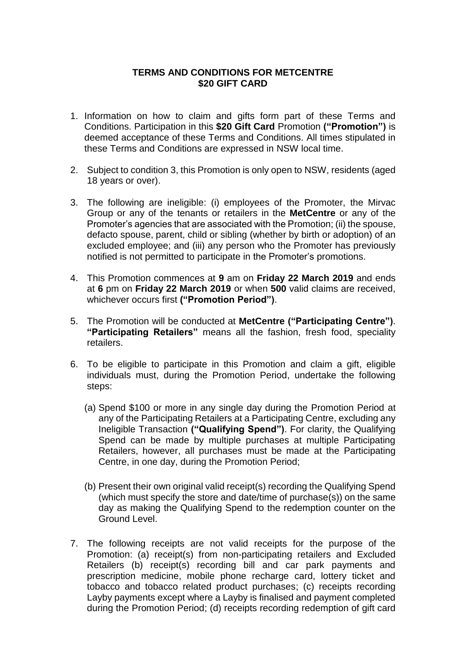## **TERMS AND CONDITIONS FOR METCENTRE \$20 GIFT CARD**

- 1. Information on how to claim and gifts form part of these Terms and Conditions. Participation in this **\$20 Gift Card** Promotion **("Promotion")** is deemed acceptance of these Terms and Conditions. All times stipulated in these Terms and Conditions are expressed in NSW local time.
- 2. Subject to condition 3, this Promotion is only open to NSW, residents (aged 18 years or over).
- 3. The following are ineligible: (i) employees of the Promoter, the Mirvac Group or any of the tenants or retailers in the **MetCentre** or any of the Promoter's agencies that are associated with the Promotion; (ii) the spouse, defacto spouse, parent, child or sibling (whether by birth or adoption) of an excluded employee; and (iii) any person who the Promoter has previously notified is not permitted to participate in the Promoter's promotions.
- 4. This Promotion commences at **9** am on **Friday 22 March 2019** and ends at **6** pm on **Friday 22 March 2019** or when **500** valid claims are received, whichever occurs first **("Promotion Period")**.
- 5. The Promotion will be conducted at **MetCentre ("Participating Centre")**. **"Participating Retailers"** means all the fashion, fresh food, speciality retailers.
- 6. To be eligible to participate in this Promotion and claim a gift, eligible individuals must, during the Promotion Period, undertake the following steps:
	- (a) Spend \$100 or more in any single day during the Promotion Period at any of the Participating Retailers at a Participating Centre, excluding any Ineligible Transaction **("Qualifying Spend")**. For clarity, the Qualifying Spend can be made by multiple purchases at multiple Participating Retailers, however, all purchases must be made at the Participating Centre, in one day, during the Promotion Period;
	- (b) Present their own original valid receipt(s) recording the Qualifying Spend (which must specify the store and date/time of purchase(s)) on the same day as making the Qualifying Spend to the redemption counter on the Ground Level.
- 7. The following receipts are not valid receipts for the purpose of the Promotion: (a) receipt(s) from non-participating retailers and Excluded Retailers (b) receipt(s) recording bill and car park payments and prescription medicine, mobile phone recharge card, lottery ticket and tobacco and tobacco related product purchases; (c) receipts recording Layby payments except where a Layby is finalised and payment completed during the Promotion Period; (d) receipts recording redemption of gift card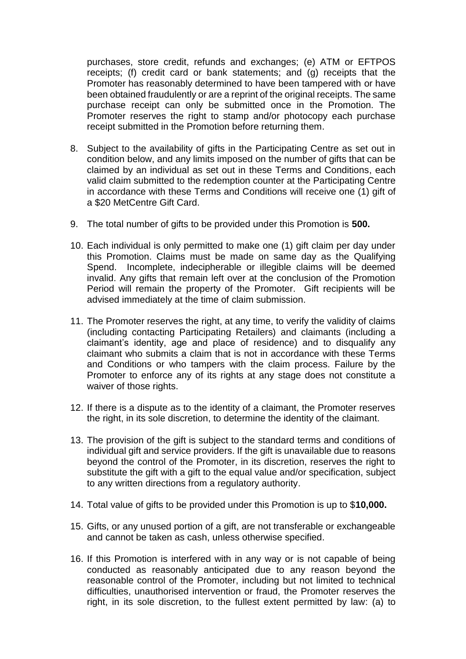purchases, store credit, refunds and exchanges; (e) ATM or EFTPOS receipts; (f) credit card or bank statements; and (g) receipts that the Promoter has reasonably determined to have been tampered with or have been obtained fraudulently or are a reprint of the original receipts. The same purchase receipt can only be submitted once in the Promotion. The Promoter reserves the right to stamp and/or photocopy each purchase receipt submitted in the Promotion before returning them.

- 8. Subject to the availability of gifts in the Participating Centre as set out in condition below, and any limits imposed on the number of gifts that can be claimed by an individual as set out in these Terms and Conditions, each valid claim submitted to the redemption counter at the Participating Centre in accordance with these Terms and Conditions will receive one (1) gift of a \$20 MetCentre Gift Card.
- 9. The total number of gifts to be provided under this Promotion is **500.**
- 10. Each individual is only permitted to make one (1) gift claim per day under this Promotion. Claims must be made on same day as the Qualifying Spend. Incomplete, indecipherable or illegible claims will be deemed invalid. Any gifts that remain left over at the conclusion of the Promotion Period will remain the property of the Promoter. Gift recipients will be advised immediately at the time of claim submission.
- 11. The Promoter reserves the right, at any time, to verify the validity of claims (including contacting Participating Retailers) and claimants (including a claimant's identity, age and place of residence) and to disqualify any claimant who submits a claim that is not in accordance with these Terms and Conditions or who tampers with the claim process. Failure by the Promoter to enforce any of its rights at any stage does not constitute a waiver of those rights.
- 12. If there is a dispute as to the identity of a claimant, the Promoter reserves the right, in its sole discretion, to determine the identity of the claimant.
- 13. The provision of the gift is subject to the standard terms and conditions of individual gift and service providers. If the gift is unavailable due to reasons beyond the control of the Promoter, in its discretion, reserves the right to substitute the gift with a gift to the equal value and/or specification, subject to any written directions from a regulatory authority.
- 14. Total value of gifts to be provided under this Promotion is up to \$**10,000.**
- 15. Gifts, or any unused portion of a gift, are not transferable or exchangeable and cannot be taken as cash, unless otherwise specified.
- 16. If this Promotion is interfered with in any way or is not capable of being conducted as reasonably anticipated due to any reason beyond the reasonable control of the Promoter, including but not limited to technical difficulties, unauthorised intervention or fraud, the Promoter reserves the right, in its sole discretion, to the fullest extent permitted by law: (a) to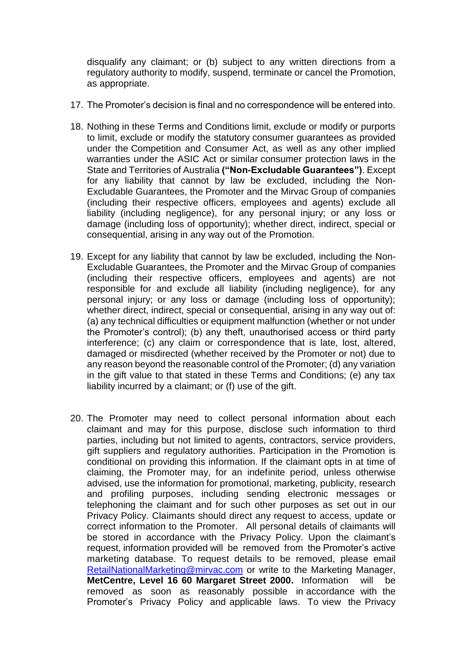disqualify any claimant; or (b) subject to any written directions from a regulatory authority to modify, suspend, terminate or cancel the Promotion, as appropriate.

- 17. The Promoter's decision is final and no correspondence will be entered into.
- 18. Nothing in these Terms and Conditions limit, exclude or modify or purports to limit, exclude or modify the statutory consumer guarantees as provided under the Competition and Consumer Act, as well as any other implied warranties under the ASIC Act or similar consumer protection laws in the State and Territories of Australia **("Non-Excludable Guarantees")**. Except for any liability that cannot by law be excluded, including the Non-Excludable Guarantees, the Promoter and the Mirvac Group of companies (including their respective officers, employees and agents) exclude all liability (including negligence), for any personal injury; or any loss or damage (including loss of opportunity); whether direct, indirect, special or consequential, arising in any way out of the Promotion.
- 19. Except for any liability that cannot by law be excluded, including the Non-Excludable Guarantees, the Promoter and the Mirvac Group of companies (including their respective officers, employees and agents) are not responsible for and exclude all liability (including negligence), for any personal injury; or any loss or damage (including loss of opportunity); whether direct, indirect, special or consequential, arising in any way out of: (a) any technical difficulties or equipment malfunction (whether or not under the Promoter's control); (b) any theft, unauthorised access or third party interference; (c) any claim or correspondence that is late, lost, altered, damaged or misdirected (whether received by the Promoter or not) due to any reason beyond the reasonable control of the Promoter; (d) any variation in the gift value to that stated in these Terms and Conditions; (e) any tax liability incurred by a claimant; or (f) use of the gift.
- 20. The Promoter may need to collect personal information about each claimant and may for this purpose, disclose such information to third parties, including but not limited to agents, contractors, service providers, gift suppliers and regulatory authorities. Participation in the Promotion is conditional on providing this information. If the claimant opts in at time of claiming, the Promoter may, for an indefinite period, unless otherwise advised, use the information for promotional, marketing, publicity, research and profiling purposes, including sending electronic messages or telephoning the claimant and for such other purposes as set out in our Privacy Policy. Claimants should direct any request to access, update or correct information to the Promoter. All personal details of claimants will be stored in accordance with the Privacy Policy. Upon the claimant's request, information provided will be removed from the Promoter's active marketing database. To request details to be removed, please email [RetailNationalMarketing@mirvac.com](mailto:RetailNationalMarketing@mirvac.com) [or](http://westfield.com.au/unsubscribe) write to the Marketing Manager, **MetCentre, Level 16 60 Margaret Street 2000.** Information will be removed as soon as reasonably possible in accordance with the Promoter's Privacy Policy and applicable laws. To view the Privacy